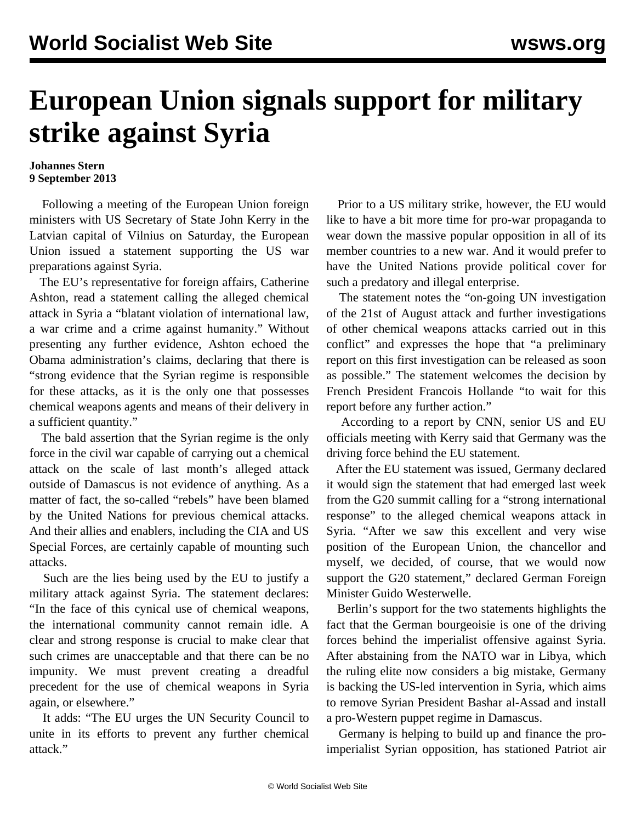## **European Union signals support for military strike against Syria**

## **Johannes Stern 9 September 2013**

 Following a meeting of the European Union foreign ministers with US Secretary of State John Kerry in the Latvian capital of Vilnius on Saturday, the European Union issued a statement supporting the US war preparations against Syria.

 The EU's representative for foreign affairs, Catherine Ashton, read a statement calling the alleged chemical attack in Syria a "blatant violation of international law, a war crime and a crime against humanity." Without presenting any further evidence, Ashton echoed the Obama administration's claims, declaring that there is "strong evidence that the Syrian regime is responsible for these attacks, as it is the only one that possesses chemical weapons agents and means of their delivery in a sufficient quantity."

 The bald assertion that the Syrian regime is the only force in the civil war capable of carrying out a chemical attack on the scale of last month's alleged attack outside of Damascus is not evidence of anything. As a matter of fact, the so-called "rebels" have been blamed by the United Nations for previous chemical attacks. And their allies and enablers, including the CIA and US Special Forces, are certainly capable of mounting such attacks.

 Such are the lies being used by the EU to justify a military attack against Syria. The statement declares: "In the face of this cynical use of chemical weapons, the international community cannot remain idle. A clear and strong response is crucial to make clear that such crimes are unacceptable and that there can be no impunity. We must prevent creating a dreadful precedent for the use of chemical weapons in Syria again, or elsewhere."

 It adds: "The EU urges the UN Security Council to unite in its efforts to prevent any further chemical attack."

 Prior to a US military strike, however, the EU would like to have a bit more time for pro-war propaganda to wear down the massive popular opposition in all of its member countries to a new war. And it would prefer to have the United Nations provide political cover for such a predatory and illegal enterprise.

 The statement notes the "on-going UN investigation of the 21st of August attack and further investigations of other chemical weapons attacks carried out in this conflict" and expresses the hope that "a preliminary report on this first investigation can be released as soon as possible." The statement welcomes the decision by French President Francois Hollande "to wait for this report before any further action."

 According to a report by CNN, senior US and EU officials meeting with Kerry said that Germany was the driving force behind the EU statement.

 After the EU statement was issued, Germany declared it would sign the statement that had emerged last week from the G20 summit calling for a "strong international response" to the alleged chemical weapons attack in Syria. "After we saw this excellent and very wise position of the European Union, the chancellor and myself, we decided, of course, that we would now support the G20 statement," declared German Foreign Minister Guido Westerwelle.

 Berlin's support for the two statements highlights the fact that the German bourgeoisie is one of the driving forces behind the imperialist offensive against Syria. After abstaining from the NATO war in Libya, which the ruling elite now considers a big mistake, Germany is backing the US-led intervention in Syria, which aims to remove Syrian President Bashar al-Assad and install a pro-Western puppet regime in Damascus.

 Germany is helping to build up and finance the proimperialist Syrian opposition, has stationed Patriot air